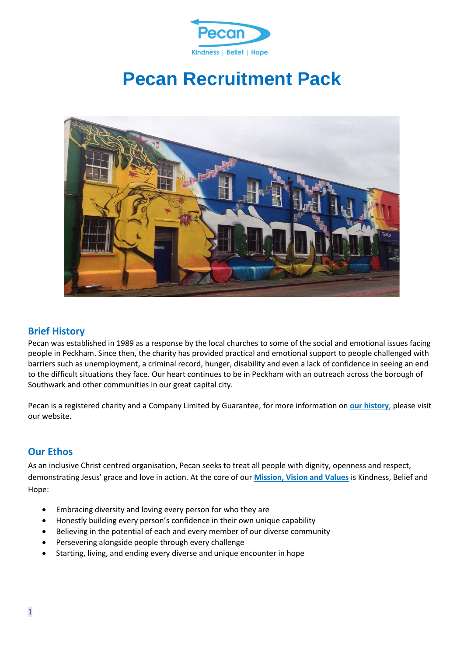

# **Pecan Recruitment Pack**



#### **Brief History**

Pecan was established in 1989 as a response by the local churches to some of the social and emotional issues facing people in Peckham. Since then, the charity has provided practical and emotional support to people challenged with barriers such as unemployment, a criminal record, hunger, disability and even a lack of confidence in seeing an end to the difficult situations they face. Our heart continues to be in Peckham with an outreach across the borough of Southwark and other communities in our great capital city.

Pecan is a registered charity and a Company Limited by Guarantee, for more information on **[our history](https://www.pecan.org.uk/our-history/)**, please visit our website.

#### **Our Ethos**

As an inclusive Christ centred organisation, Pecan seeks to treat all people with dignity, openness and respect, demonstrating Jesus' grace and love in action. At the core of our **[Mission, Vision and Values](https://www.pecan.org.uk/about-us/)** is Kindness, Belief and Hope:

- Embracing diversity and loving every person for who they are
- Honestly building every person's confidence in their own unique capability
- Believing in the potential of each and every member of our diverse community
- Persevering alongside people through every challenge
- Starting, living, and ending every diverse and unique encounter in hope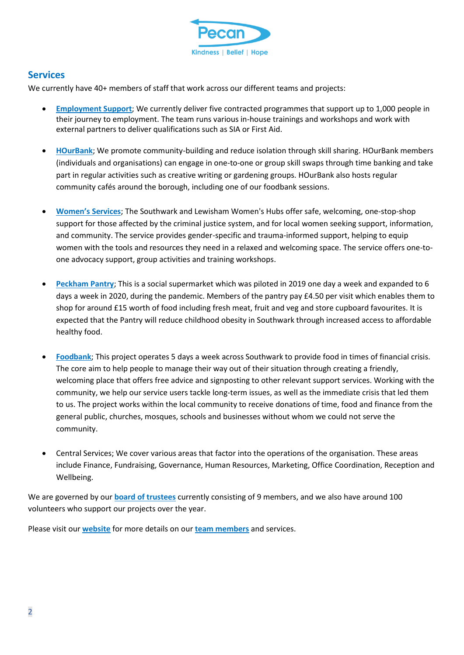

#### **Services**

We currently have 40+ members of staff that work across our different teams and projects:

- **[Employment Support](https://www.pecan.org.uk/employment-support/)**; We currently deliver five contracted programmes that support up to 1,000 people in their journey to employment. The team runs various in-house trainings and workshops and work with external partners to deliver qualifications such as SIA or First Aid.
- **[HOurBank](https://www.pecan.org.uk/hourbank/)**; We promote community-building and reduce isolation through skill sharing. HOurBank members (individuals and organisations) can engage in one-to-one or group skill swaps through time banking and take part in regular activities such as creative writing or gardening groups. HOurBank also hosts regular community cafés around the borough, including one of our foodbank sessions.
- **[Women's](https://www.pecan.org.uk/womens-services/) Services**; The Southwark and Lewisham Women's Hubs offer safe, welcoming, one-stop-shop support for those affected by the criminal justice system, and for local women seeking support, information, and community. The service provides gender-specific and trauma-informed support, helping to equip women with the tools and resources they need in a relaxed and welcoming space. The service offers one-toone advocacy support, group activities and training workshops.
- **[Peckham Pantry](https://www.pecan.org.uk/peckham-pantry/)**; This is a social supermarket which was piloted in 2019 one day a week and expanded to 6 days a week in 2020, during the pandemic. Members of the pantry pay £4.50 per visit which enables them to shop for around £15 worth of food including fresh meat, fruit and veg and store cupboard favourites. It is expected that the Pantry will reduce childhood obesity in Southwark through increased access to affordable healthy food.
- **[Foodbank](https://www.pecan.org.uk/southwark-foodbank/)**; This project operates 5 days a week across Southwark to provide food in times of financial crisis. The core aim to help people to manage their way out of their situation through creating a friendly, welcoming place that offers free advice and signposting to other relevant support services. Working with the community, we help our service users tackle long-term issues, as well as the immediate crisis that led them to us. The project works within the local community to receive donations of time, food and finance from the general public, churches, mosques, schools and businesses without whom we could not serve the community.
- Central Services; We cover various areas that factor into the operations of the organisation. These areas include Finance, Fundraising, Governance, Human Resources, Marketing, Office Coordination, Reception and Wellbeing.

We are governed by our **[board of trustees](https://www.pecan.org.uk/meet-the-trustees/)** currently consisting of 9 members, and we also have around 100 volunteers who support our projects over the year.

Please visit our **[website](https://www.pecan.org.uk/)** for more details on our **[team members](https://www.pecan.org.uk/meet-the-team/)** and services.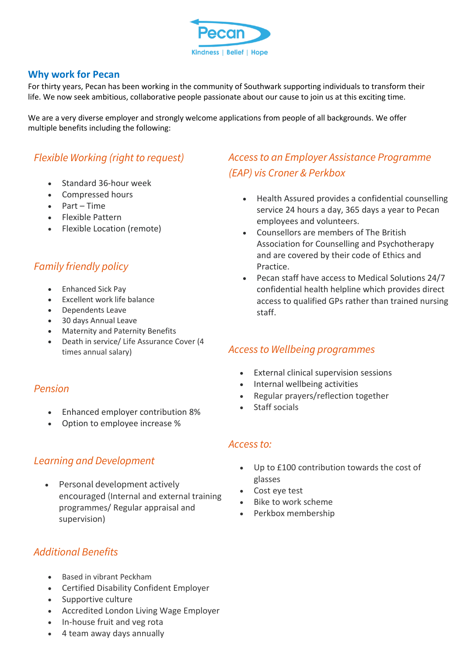

#### **Why work for Pecan**

For thirty years, Pecan has been working in the community of Southwark supporting individuals to transform their life. We now seek ambitious, collaborative people passionate about our cause to join us at this exciting time.

We are a very diverse employer and strongly welcome applications from people of all backgrounds. We offer multiple benefits including the following:

### *Flexible Working (right to request)*

- Standard 36-hour week
- Compressed hours
- Part Time
- Flexible Pattern
- Flexible Location (remote)

### *Family friendly policy*

- Enhanced Sick Pay
- Excellent work life balance
- Dependents Leave
- 30 days Annual Leave
- Maternity and Paternity Benefits
- Death in service/ Life Assurance Cover (4 times annual salary)

#### *Pension*

- Enhanced employer contribution 8%
- Option to employee increase %

#### *Learning and Development*

• Personal development actively encouraged (Internal and external training programmes/ Regular appraisal and supervision)

# *Access to an Employer Assistance Programme (EAP) vis Croner & Perkbox*

- Health Assured provides a confidential counselling service 24 hours a day, 365 days a year to Pecan employees and volunteers.
- Counsellors are members of The British Association for Counselling and Psychotherapy and are covered by their code of Ethics and Practice.
- Pecan staff have access to Medical Solutions 24/7 confidential health helpline which provides direct access to qualified GPs rather than trained nursing staff.

#### *Access to Wellbeing programmes*

- External clinical supervision sessions
- Internal wellbeing activities
- Regular prayers/reflection together
- Staff socials

#### *Access to:*

- Up to £100 contribution towards the cost of glasses
- Cost eye test
- Bike to work scheme
- Perkbox membership

### *Additional Benefits*

- Based in vibrant Peckham
- Certified Disability Confident Employer
- Supportive culture
- Accredited London Living Wage Employer
- In-house fruit and veg rota
- 4 team away days annually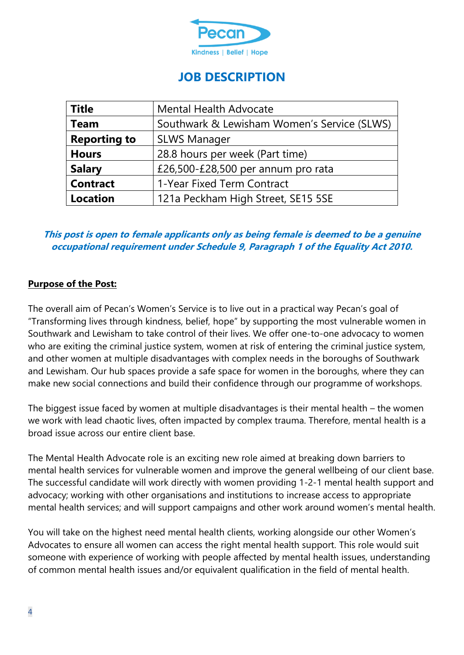

# **JOB DESCRIPTION**

| <b>Title</b>        | <b>Mental Health Advocate</b>               |  |  |  |
|---------------------|---------------------------------------------|--|--|--|
| <b>Team</b>         | Southwark & Lewisham Women's Service (SLWS) |  |  |  |
| <b>Reporting to</b> | <b>SLWS Manager</b>                         |  |  |  |
| <b>Hours</b>        | 28.8 hours per week (Part time)             |  |  |  |
| <b>Salary</b>       | £26,500-£28,500 per annum pro rata          |  |  |  |
| <b>Contract</b>     | 1-Year Fixed Term Contract                  |  |  |  |
| <b>Location</b>     | 121a Peckham High Street, SE15 5SE          |  |  |  |

### **This post is open to female applicants only as being female is deemed to be a genuine occupational requirement under Schedule 9, Paragraph 1 of the Equality Act 2010.**

### **Purpose of the Post:**

The overall aim of Pecan's Women's Service is to live out in a practical way Pecan's goal of "Transforming lives through kindness, belief, hope" by supporting the most vulnerable women in Southwark and Lewisham to take control of their lives. We offer one-to-one advocacy to women who are exiting the criminal justice system, women at risk of entering the criminal justice system, and other women at multiple disadvantages with complex needs in the boroughs of Southwark and Lewisham. Our hub spaces provide a safe space for women in the boroughs, where they can make new social connections and build their confidence through our programme of workshops.

The biggest issue faced by women at multiple disadvantages is their mental health – the women we work with lead chaotic lives, often impacted by complex trauma. Therefore, mental health is a broad issue across our entire client base.

The Mental Health Advocate role is an exciting new role aimed at breaking down barriers to mental health services for vulnerable women and improve the general wellbeing of our client base. The successful candidate will work directly with women providing 1-2-1 mental health support and advocacy; working with other organisations and institutions to increase access to appropriate mental health services; and will support campaigns and other work around women's mental health.

You will take on the highest need mental health clients, working alongside our other Women's Advocates to ensure all women can access the right mental health support. This role would suit someone with experience of working with people affected by mental health issues, understanding of common mental health issues and/or equivalent qualification in the field of mental health.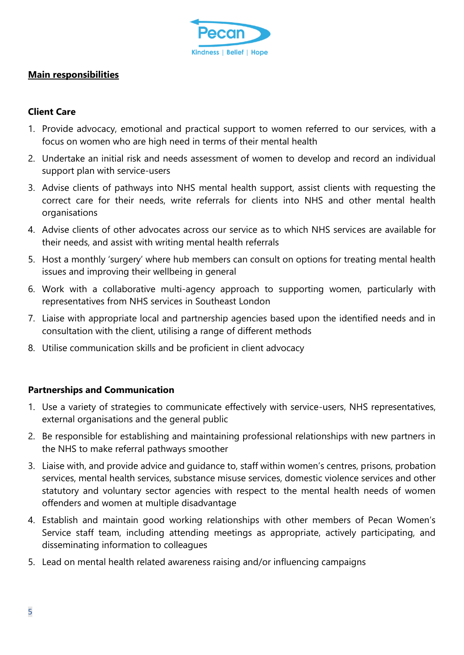

#### **Main responsibilities**

### **Client Care**

- 1. Provide advocacy, emotional and practical support to women referred to our services, with a focus on women who are high need in terms of their mental health
- 2. Undertake an initial risk and needs assessment of women to develop and record an individual support plan with service-users
- 3. Advise clients of pathways into NHS mental health support, assist clients with requesting the correct care for their needs, write referrals for clients into NHS and other mental health organisations
- 4. Advise clients of other advocates across our service as to which NHS services are available for their needs, and assist with writing mental health referrals
- 5. Host a monthly 'surgery' where hub members can consult on options for treating mental health issues and improving their wellbeing in general
- 6. Work with a collaborative multi-agency approach to supporting women, particularly with representatives from NHS services in Southeast London
- 7. Liaise with appropriate local and partnership agencies based upon the identified needs and in consultation with the client, utilising a range of different methods
- 8. Utilise communication skills and be proficient in client advocacy

#### **Partnerships and Communication**

- 1. Use a variety of strategies to communicate effectively with service-users, NHS representatives, external organisations and the general public
- 2. Be responsible for establishing and maintaining professional relationships with new partners in the NHS to make referral pathways smoother
- 3. Liaise with, and provide advice and guidance to, staff within women's centres, prisons, probation services, mental health services, substance misuse services, domestic violence services and other statutory and voluntary sector agencies with respect to the mental health needs of women offenders and women at multiple disadvantage
- 4. Establish and maintain good working relationships with other members of Pecan Women's Service staff team, including attending meetings as appropriate, actively participating, and disseminating information to colleagues
- 5. Lead on mental health related awareness raising and/or influencing campaigns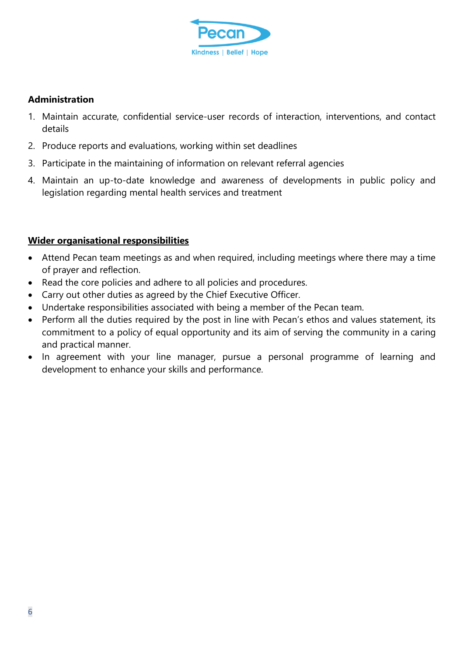

#### **Administration**

- 1. Maintain accurate, confidential service-user records of interaction, interventions, and contact details
- 2. Produce reports and evaluations, working within set deadlines
- 3. Participate in the maintaining of information on relevant referral agencies
- 4. Maintain an up-to-date knowledge and awareness of developments in public policy and legislation regarding mental health services and treatment

### **Wider organisational responsibilities**

- Attend Pecan team meetings as and when required, including meetings where there may a time of prayer and reflection.
- Read the core policies and adhere to all policies and procedures.
- Carry out other duties as agreed by the Chief Executive Officer.
- Undertake responsibilities associated with being a member of the Pecan team.
- Perform all the duties required by the post in line with Pecan's ethos and values statement, its commitment to a policy of equal opportunity and its aim of serving the community in a caring and practical manner.
- In agreement with your line manager, pursue a personal programme of learning and development to enhance your skills and performance.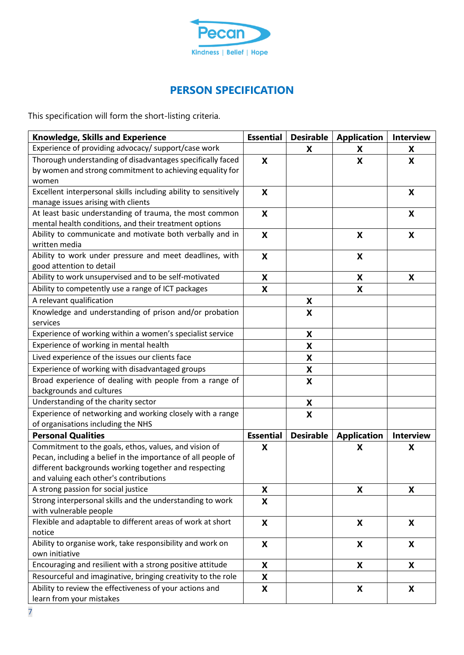

## **PERSON SPECIFICATION**

This specification will form the short-listing criteria.

| <b>Knowledge, Skills and Experience</b>                                                                          | <b>Essential</b>          | Desirable        | <b>Application</b>        | <b>Interview</b> |
|------------------------------------------------------------------------------------------------------------------|---------------------------|------------------|---------------------------|------------------|
| Experience of providing advocacy/ support/case work                                                              |                           | X                | X                         | X                |
| Thorough understanding of disadvantages specifically faced                                                       | X                         |                  | X                         | X                |
| by women and strong commitment to achieving equality for                                                         |                           |                  |                           |                  |
| women                                                                                                            |                           |                  |                           |                  |
| Excellent interpersonal skills including ability to sensitively                                                  | X                         |                  |                           | X                |
| manage issues arising with clients                                                                               |                           |                  |                           |                  |
| At least basic understanding of trauma, the most common<br>mental health conditions, and their treatment options | X                         |                  |                           | X                |
| Ability to communicate and motivate both verbally and in                                                         | X                         |                  | X                         | X                |
| written media                                                                                                    |                           |                  |                           |                  |
| Ability to work under pressure and meet deadlines, with                                                          | X                         |                  | X                         |                  |
| good attention to detail                                                                                         |                           |                  |                           |                  |
| Ability to work unsupervised and to be self-motivated                                                            | X                         |                  | X                         | X                |
| Ability to competently use a range of ICT packages                                                               | X                         |                  | X                         |                  |
| A relevant qualification                                                                                         |                           | X                |                           |                  |
| Knowledge and understanding of prison and/or probation                                                           |                           | X                |                           |                  |
| services                                                                                                         |                           |                  |                           |                  |
| Experience of working within a women's specialist service                                                        |                           | X                |                           |                  |
| Experience of working in mental health                                                                           |                           | X                |                           |                  |
| Lived experience of the issues our clients face                                                                  |                           | X                |                           |                  |
| Experience of working with disadvantaged groups                                                                  |                           | X                |                           |                  |
| Broad experience of dealing with people from a range of                                                          |                           | X                |                           |                  |
| backgrounds and cultures                                                                                         |                           |                  |                           |                  |
| Understanding of the charity sector                                                                              |                           | X                |                           |                  |
| Experience of networking and working closely with a range                                                        |                           | X                |                           |                  |
| of organisations including the NHS                                                                               |                           |                  |                           |                  |
| <b>Personal Qualities</b>                                                                                        | <b>Essential</b>          | <b>Desirable</b> | <b>Application</b>        | <b>Interview</b> |
| Commitment to the goals, ethos, values, and vision of                                                            | X                         |                  | X                         | X                |
| Pecan, including a belief in the importance of all people of                                                     |                           |                  |                           |                  |
| different backgrounds working together and respecting                                                            |                           |                  |                           |                  |
| and valuing each other's contributions<br>A strong passion for social justice                                    | X                         |                  | X                         | X                |
| Strong interpersonal skills and the understanding to work                                                        | X                         |                  |                           |                  |
| with vulnerable people                                                                                           |                           |                  |                           |                  |
| Flexible and adaptable to different areas of work at short                                                       | X                         |                  | X                         | X                |
| notice                                                                                                           |                           |                  |                           |                  |
| Ability to organise work, take responsibility and work on                                                        | X                         |                  | X                         | X                |
| own initiative                                                                                                   |                           |                  |                           |                  |
| Encouraging and resilient with a strong positive attitude                                                        | X                         |                  | X                         | X                |
| Resourceful and imaginative, bringing creativity to the role                                                     | X                         |                  |                           |                  |
| Ability to review the effectiveness of your actions and<br>learn from your mistakes                              | $\boldsymbol{\mathsf{X}}$ |                  | $\boldsymbol{\mathsf{X}}$ | X                |